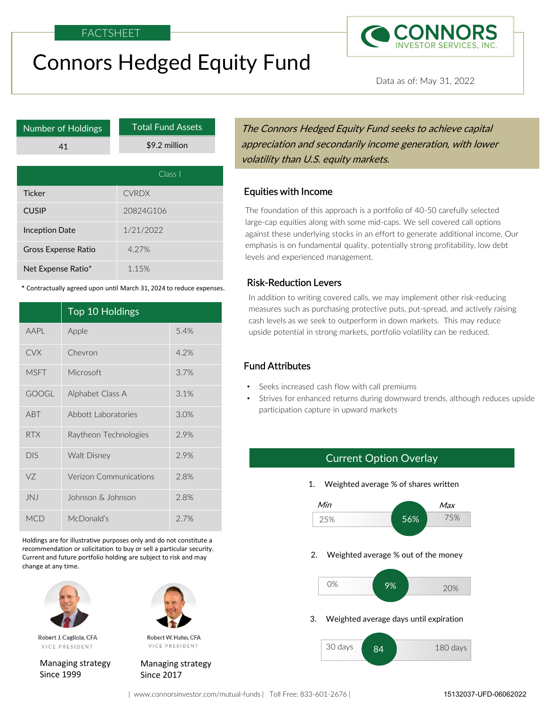# Connors Hedged Equity Fund



Data as of: May 31, 2022

| <b>Number of Holdings</b>  |                                                                      | <b>Total Fund Assets</b> |         | The Connors Hedged Equity Fund seeks to achieve cap                                                                                                                                                                                                          |  |
|----------------------------|----------------------------------------------------------------------|--------------------------|---------|--------------------------------------------------------------------------------------------------------------------------------------------------------------------------------------------------------------------------------------------------------------|--|
|                            | 41                                                                   | \$9.2 million            |         | appreciation and secondarily income generation, with l                                                                                                                                                                                                       |  |
|                            |                                                                      |                          |         | volatility than U.S. equity markets.                                                                                                                                                                                                                         |  |
|                            |                                                                      |                          | Class I |                                                                                                                                                                                                                                                              |  |
| <b>Ticker</b>              |                                                                      | <b>CVRDX</b>             |         | <b>Equities with Income</b>                                                                                                                                                                                                                                  |  |
| <b>CUSIP</b>               | 20824G106                                                            |                          |         | The foundation of this approach is a portfolio of 40-50 carefully se                                                                                                                                                                                         |  |
| <b>Inception Date</b>      |                                                                      | 1/21/2022                |         | large-cap equities along with some mid-caps. We sell covered call on<br>against these underlying stocks in an effort to generate additional i<br>emphasis is on fundamental quality, potentially strong profitability,<br>levels and experienced management. |  |
| <b>Gross Expense Ratio</b> |                                                                      | 4.27%                    |         |                                                                                                                                                                                                                                                              |  |
| Net Expense Ratio*         |                                                                      | 1.15%                    |         |                                                                                                                                                                                                                                                              |  |
|                            | * Contractually agreed upon until March 31, 2024 to reduce expenses. |                          |         | <b>Risk-Reduction Levers</b>                                                                                                                                                                                                                                 |  |
|                            |                                                                      |                          |         | In addition to writing covered calls, we may implement other risk-                                                                                                                                                                                           |  |
| Top 10 Holdings            |                                                                      |                          |         | measures such as purchasing protective puts, put-spread, and acti<br>cash levels as we seek to outperform in down markets. This may                                                                                                                          |  |
| AAPL                       | Apple                                                                |                          | 5.4%    | upside potential in strong markets, portfolio volatility can be reduc                                                                                                                                                                                        |  |
| <b>CVX</b>                 | Chevron                                                              |                          | 4.2%    |                                                                                                                                                                                                                                                              |  |
| <b>MSFT</b>                | <b>Microsoft</b>                                                     |                          | 3.7%    | <b>Fund Attributes</b>                                                                                                                                                                                                                                       |  |
| GOOGL                      | Alphabet Class A                                                     |                          | 3.1%    | Seeks increased cash flow with call premiums<br>Strives for enhanced returns during downward trends, although<br>$\bullet$                                                                                                                                   |  |

| 41                         |                                                                                                                                                                                                                 | \$9.2 million |         | appreciation and secondarily income generation, w<br>volatility than U.S. equity markets.                                                                                                                                                                                                                   |  |
|----------------------------|-----------------------------------------------------------------------------------------------------------------------------------------------------------------------------------------------------------------|---------------|---------|-------------------------------------------------------------------------------------------------------------------------------------------------------------------------------------------------------------------------------------------------------------------------------------------------------------|--|
|                            |                                                                                                                                                                                                                 |               | Class I |                                                                                                                                                                                                                                                                                                             |  |
| <b>Ticker</b>              |                                                                                                                                                                                                                 | <b>CVRDX</b>  |         | <b>Equities with Income</b>                                                                                                                                                                                                                                                                                 |  |
| <b>CUSIP</b>               |                                                                                                                                                                                                                 | 20824G106     |         | The foundation of this approach is a portfolio of 40-50 carefu<br>large-cap equities along with some mid-caps. We sell covered<br>against these underlying stocks in an effort to generate additio<br>emphasis is on fundamental quality, potentially strong profitab<br>levels and experienced management. |  |
| <b>Inception Date</b>      |                                                                                                                                                                                                                 | 1/21/2022     |         |                                                                                                                                                                                                                                                                                                             |  |
| <b>Gross Expense Ratio</b> |                                                                                                                                                                                                                 | 4.27%         |         |                                                                                                                                                                                                                                                                                                             |  |
| Net Expense Ratio*         |                                                                                                                                                                                                                 | 1.15%         |         |                                                                                                                                                                                                                                                                                                             |  |
|                            | * Contractually agreed upon until March 31, 2024 to reduce expenses.                                                                                                                                            |               |         | <b>Risk-Reduction Levers</b>                                                                                                                                                                                                                                                                                |  |
|                            | Top 10 Holdings                                                                                                                                                                                                 |               |         | In addition to writing covered calls, we may implement other<br>measures such as purchasing protective puts, put-spread, and<br>cash levels as we seek to outperform in down markets. This<br>upside potential in strong markets, portfolio volatility can be i                                             |  |
| AAPL                       | Apple                                                                                                                                                                                                           |               | 5.4%    |                                                                                                                                                                                                                                                                                                             |  |
| <b>CVX</b>                 | Chevron                                                                                                                                                                                                         |               | 4.2%    |                                                                                                                                                                                                                                                                                                             |  |
| <b>MSFT</b>                | Microsoft                                                                                                                                                                                                       |               | 3.7%    | <b>Fund Attributes</b>                                                                                                                                                                                                                                                                                      |  |
| <b>GOOGL</b>               | Alphabet Class A                                                                                                                                                                                                |               | 3.1%    | Seeks increased cash flow with call premiums<br>Strives for enhanced returns during downward trends, alth                                                                                                                                                                                                   |  |
| <b>ABT</b>                 | Abbott Laboratories                                                                                                                                                                                             |               | 3.0%    | participation capture in upward markets                                                                                                                                                                                                                                                                     |  |
| <b>RTX</b>                 | Raytheon Technologies                                                                                                                                                                                           |               | 2.9%    |                                                                                                                                                                                                                                                                                                             |  |
| <b>DIS</b>                 | Walt Disney                                                                                                                                                                                                     |               | 2.9%    | <b>Current Option Overlay</b>                                                                                                                                                                                                                                                                               |  |
| VZ                         | Verizon Communications<br>2.8%                                                                                                                                                                                  |               |         | Weighted average % of shares written<br>1.                                                                                                                                                                                                                                                                  |  |
| JNJ                        | Johnson & Johnson                                                                                                                                                                                               |               | 2.8%    | Min<br>Max                                                                                                                                                                                                                                                                                                  |  |
| <b>MCD</b>                 | McDonald's                                                                                                                                                                                                      |               | 2.7%    | 75%<br>56%<br>25%                                                                                                                                                                                                                                                                                           |  |
| change at any time.        | Holdings are for illustrative purposes only and do not constitute a<br>recommendation or solicitation to buy or sell a particular security.<br>Current and future portfolio holding are subject to risk and may |               |         | Weighted average % out of the money<br>2.                                                                                                                                                                                                                                                                   |  |



Robert J. Cagliola, CFA VICE PRESIDENT

Managing strategy Since 1999 Since 2017



Robert W. Hahn, CFA VICE PRESIDENT

Managing strategy

Total Fund Assets **The Connors Hedged Equity Fund seeks to achieve capital** \$9.2 million **come appreciation and secondarily income generation, with lower comp** volatility than U.S. equity markets.

**CUSIP** 20824G106 **20824G106** The foundation of this approach is a portfolio of 40-50 carefully selected large-cap equities along with some mid-caps. We sell covered call options **Inception Date** 1/21/2022 against these underlying stocks in an effort to generate additional income. Our Gross Expense Ratio **4.27% Expense Ratio 1.27% Expense Ratio 1.27% Expense Ratio 1.27% Expense Ratio 1.27%** levels and experienced management.

### Risk-Reduction Levers

In addition to writing covered calls, we may implement other risk-reducing measures such as purchasing protective puts, put-spread, and actively raising cash levels as we seek to outperform in down markets. This may reduce upside potential in strong markets, portfolio volatility can be reduced. more dianagement.<br> **1 Levers**<br>
ting covered calls, we may implement other risk-reducing<br>
purchasing protective puts, put-spread, and actively raising<br>
seek to outperform in down markets. This may reduce<br> **1.**<br> **1.**<br> **1.** W

### Fund Attributes

- Seeks increased cash flow with call premiums
- Strives for enhanced returns during downward trends, although reduces upside participation capture in upward markets

### Current Option Overlay







| www.connorsinvestor.com/mutual-funds | Toll Free: 833-601-2676 |